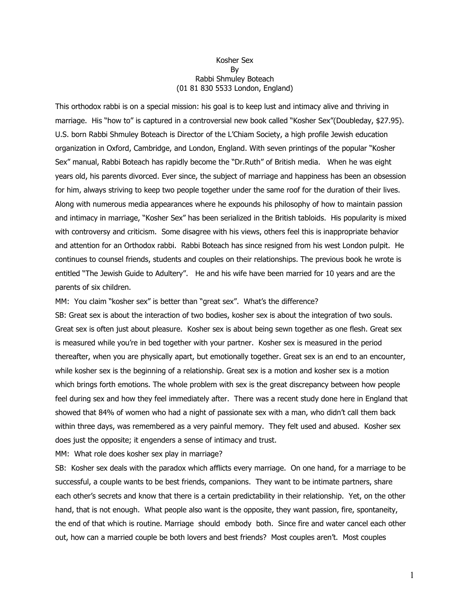## Kosher Sex By Rabbi Shmuley Boteach (01 81 830 5533 London, England)

This orthodox rabbi is on a special mission: his goal is to keep lust and intimacy alive and thriving in marriage. His "how to" is captured in a controversial new book called "Kosher Sex"(Doubleday, \$27.95). U.S. born Rabbi Shmuley Boteach is Director of the L'Chiam Society, a high profile Jewish education organization in Oxford, Cambridge, and London, England. With seven printings of the popular "Kosher Sex" manual, Rabbi Boteach has rapidly become the "Dr.Ruth" of British media. When he was eight years old, his parents divorced. Ever since, the subject of marriage and happiness has been an obsession for him, always striving to keep two people together under the same roof for the duration of their lives. Along with numerous media appearances where he expounds his philosophy of how to maintain passion and intimacy in marriage, "Kosher Sex" has been serialized in the British tabloids. His popularity is mixed with controversy and criticism. Some disagree with his views, others feel this is inappropriate behavior and attention for an Orthodox rabbi. Rabbi Boteach has since resigned from his west London pulpit. He continues to counsel friends, students and couples on their relationships. The previous book he wrote is entitled "The Jewish Guide to Adultery". He and his wife have been married for 10 years and are the parents of six children.

MM: You claim "kosher sex" is better than "great sex". What's the difference?

SB: Great sex is about the interaction of two bodies, kosher sex is about the integration of two souls. Great sex is often just about pleasure. Kosher sex is about being sewn together as one flesh. Great sex is measured while you're in bed together with your partner. Kosher sex is measured in the period thereafter, when you are physically apart, but emotionally together. Great sex is an end to an encounter, while kosher sex is the beginning of a relationship. Great sex is a motion and kosher sex is a motion which brings forth emotions. The whole problem with sex is the great discrepancy between how people feel during sex and how they feel immediately after. There was a recent study done here in England that showed that 84% of women who had a night of passionate sex with a man, who didn't call them back within three days, was remembered as a very painful memory. They felt used and abused. Kosher sex does just the opposite; it engenders a sense of intimacy and trust.

MM: What role does kosher sex play in marriage?

SB: Kosher sex deals with the paradox which afflicts every marriage. On one hand, for a marriage to be successful, a couple wants to be best friends, companions. They want to be intimate partners, share each other's secrets and know that there is a certain predictability in their relationship. Yet, on the other hand, that is not enough. What people also want is the opposite, they want passion, fire, spontaneity, the end of that which is routine. Marriage should embody both. Since fire and water cancel each other out, how can a married couple be both lovers and best friends? Most couples aren't. Most couples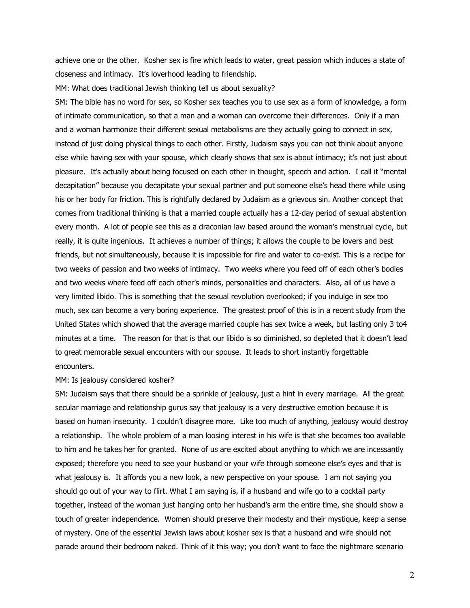achieve one or the other. Kosher sex is fire which leads to water, great passion which induces a state of closeness and intimacy. It's loverhood leading to friendship.

MM: What does traditional Jewish thinking tell us about sexuality?

SM: The bible has no word for sex, so Kosher sex teaches you to use sex as a form of knowledge, a form of intimate communication, so that a man and a woman can overcome their differences. Only if a man and a woman harmonize their different sexual metabolisms are they actually going to connect in sex, instead of just doing physical things to each other. Firstly, Judaism says you can not think about anyone else while having sex with your spouse, which clearly shows that sex is about intimacy; it's not just about pleasure. It's actually about being focused on each other in thought, speech and action. I call it "mental decapitation" because you decapitate your sexual partner and put someone else's head there while using his or her body for friction. This is rightfully declared by Judaism as a grievous sin. Another concept that comes from traditional thinking is that a married couple actually has a 12-day period of sexual abstention every month. A lot of people see this as a draconian law based around the woman's menstrual cycle, but really, it is quite ingenious. It achieves a number of things; it allows the couple to be lovers and best friends, but not simultaneously, because it is impossible for fire and water to co-exist. This is a recipe for two weeks of passion and two weeks of intimacy. Two weeks where you feed off of each other's bodies and two weeks where feed off each other's minds, personalities and characters. Also, all of us have a very limited libido. This is something that the sexual revolution overlooked; if you indulge in sex too much, sex can become a very boring experience. The greatest proof of this is in a recent study from the United States which showed that the average married couple has sex twice a week, but lasting only 3 to4 minutes at a time. The reason for that is that our libido is so diminished, so depleted that it doesn't lead to great memorable sexual encounters with our spouse. It leads to short instantly forgettable encounters.

## MM: Is jealousy considered kosher?

SM: Judaism says that there should be a sprinkle of jealousy, just a hint in every marriage. All the great secular marriage and relationship gurus say that jealousy is a very destructive emotion because it is based on human insecurity. I couldn't disagree more. Like too much of anything, jealousy would destroy a relationship. The whole problem of a man loosing interest in his wife is that she becomes too available to him and he takes her for granted. None of us are excited about anything to which we are incessantly exposed; therefore you need to see your husband or your wife through someone else's eyes and that is what jealousy is. It affords you a new look, a new perspective on your spouse. I am not saying you should go out of your way to flirt. What I am saying is, if a husband and wife go to a cocktail party together, instead of the woman just hanging onto her husband's arm the entire time, she should show a touch of greater independence. Women should preserve their modesty and their mystique, keep a sense of mystery. One of the essential Jewish laws about kosher sex is that a husband and wife should not parade around their bedroom naked. Think of it this way; you don't want to face the nightmare scenario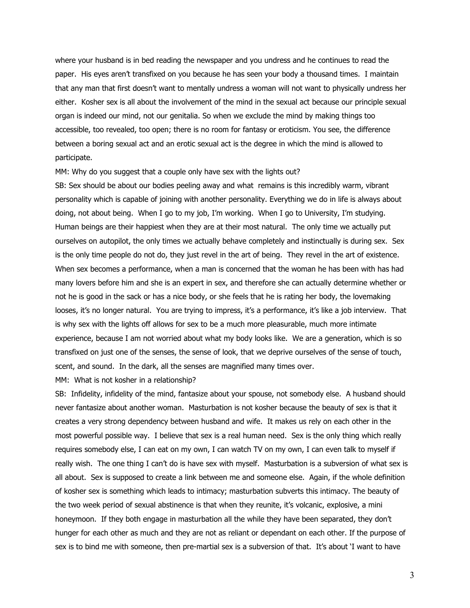where your husband is in bed reading the newspaper and you undress and he continues to read the paper. His eyes aren't transfixed on you because he has seen your body a thousand times. I maintain that any man that first doesn't want to mentally undress a woman will not want to physically undress her either. Kosher sex is all about the involvement of the mind in the sexual act because our principle sexual organ is indeed our mind, not our genitalia. So when we exclude the mind by making things too accessible, too revealed, too open; there is no room for fantasy or eroticism. You see, the difference between a boring sexual act and an erotic sexual act is the degree in which the mind is allowed to participate.

MM: Why do you suggest that a couple only have sex with the lights out?

SB: Sex should be about our bodies peeling away and what remains is this incredibly warm, vibrant personality which is capable of joining with another personality. Everything we do in life is always about doing, not about being. When I go to my job, I'm working. When I go to University, I'm studying. Human beings are their happiest when they are at their most natural. The only time we actually put ourselves on autopilot, the only times we actually behave completely and instinctually is during sex. Sex is the only time people do not do, they just revel in the art of being. They revel in the art of existence. When sex becomes a performance, when a man is concerned that the woman he has been with has had many lovers before him and she is an expert in sex, and therefore she can actually determine whether or not he is good in the sack or has a nice body, or she feels that he is rating her body, the lovemaking looses, it's no longer natural. You are trying to impress, it's a performance, it's like a job interview. That is why sex with the lights off allows for sex to be a much more pleasurable, much more intimate experience, because I am not worried about what my body looks like. We are a generation, which is so transfixed on just one of the senses, the sense of look, that we deprive ourselves of the sense of touch, scent, and sound. In the dark, all the senses are magnified many times over.

MM: What is not kosher in a relationship?

SB: Infidelity, infidelity of the mind, fantasize about your spouse, not somebody else. A husband should never fantasize about another woman. Masturbation is not kosher because the beauty of sex is that it creates a very strong dependency between husband and wife. It makes us rely on each other in the most powerful possible way. I believe that sex is a real human need. Sex is the only thing which really requires somebody else, I can eat on my own, I can watch TV on my own, I can even talk to myself if really wish. The one thing I can't do is have sex with myself. Masturbation is a subversion of what sex is all about. Sex is supposed to create a link between me and someone else. Again, if the whole definition of kosher sex is something which leads to intimacy; masturbation subverts this intimacy. The beauty of the two week period of sexual abstinence is that when they reunite, it's volcanic, explosive, a mini honeymoon. If they both engage in masturbation all the while they have been separated, they don't hunger for each other as much and they are not as reliant or dependant on each other. If the purpose of sex is to bind me with someone, then pre-martial sex is a subversion of that. It's about 'I want to have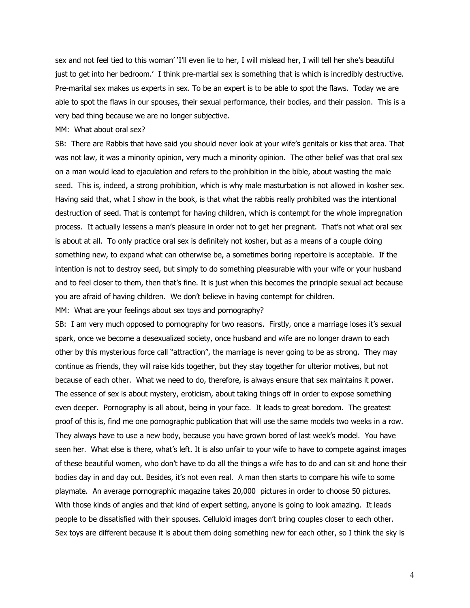sex and not feel tied to this woman' 'I'll even lie to her, I will mislead her, I will tell her she's beautiful just to get into her bedroom.' I think pre-martial sex is something that is which is incredibly destructive. Pre-marital sex makes us experts in sex. To be an expert is to be able to spot the flaws. Today we are able to spot the flaws in our spouses, their sexual performance, their bodies, and their passion. This is a very bad thing because we are no longer subjective.

## MM: What about oral sex?

SB: There are Rabbis that have said you should never look at your wife's genitals or kiss that area. That was not law, it was a minority opinion, very much a minority opinion. The other belief was that oral sex on a man would lead to ejaculation and refers to the prohibition in the bible, about wasting the male seed. This is, indeed, a strong prohibition, which is why male masturbation is not allowed in kosher sex. Having said that, what I show in the book, is that what the rabbis really prohibited was the intentional destruction of seed. That is contempt for having children, which is contempt for the whole impregnation process. It actually lessens a man's pleasure in order not to get her pregnant. That's not what oral sex is about at all. To only practice oral sex is definitely not kosher, but as a means of a couple doing something new, to expand what can otherwise be, a sometimes boring repertoire is acceptable. If the intention is not to destroy seed, but simply to do something pleasurable with your wife or your husband and to feel closer to them, then that's fine. It is just when this becomes the principle sexual act because you are afraid of having children. We don't believe in having contempt for children.

MM: What are your feelings about sex toys and pornography?

SB: I am very much opposed to pornography for two reasons. Firstly, once a marriage loses it's sexual spark, once we become a desexualized society, once husband and wife are no longer drawn to each other by this mysterious force call "attraction", the marriage is never going to be as strong. They may continue as friends, they will raise kids together, but they stay together for ulterior motives, but not because of each other. What we need to do, therefore, is always ensure that sex maintains it power. The essence of sex is about mystery, eroticism, about taking things off in order to expose something even deeper. Pornography is all about, being in your face. It leads to great boredom. The greatest proof of this is, find me one pornographic publication that will use the same models two weeks in a row. They always have to use a new body, because you have grown bored of last week's model. You have seen her. What else is there, what's left. It is also unfair to your wife to have to compete against images of these beautiful women, who don't have to do all the things a wife has to do and can sit and hone their bodies day in and day out. Besides, it's not even real. A man then starts to compare his wife to some playmate. An average pornographic magazine takes 20,000 pictures in order to choose 50 pictures. With those kinds of angles and that kind of expert setting, anyone is going to look amazing. It leads people to be dissatisfied with their spouses. Celluloid images don't bring couples closer to each other. Sex toys are different because it is about them doing something new for each other, so I think the sky is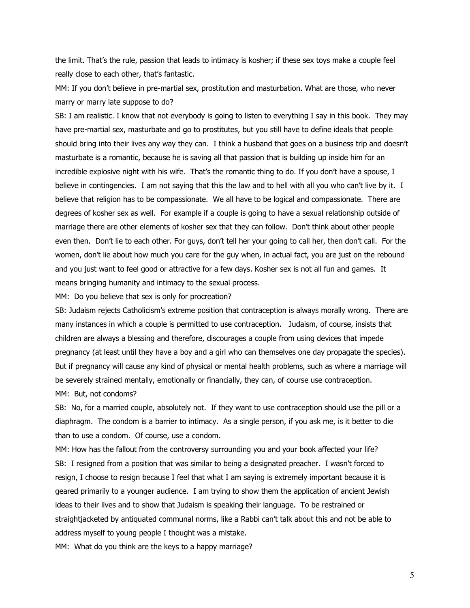the limit. That's the rule, passion that leads to intimacy is kosher; if these sex toys make a couple feel really close to each other, that's fantastic.

MM: If you don't believe in pre-martial sex, prostitution and masturbation. What are those, who never marry or marry late suppose to do?

SB: I am realistic. I know that not everybody is going to listen to everything I say in this book. They may have pre-martial sex, masturbate and go to prostitutes, but you still have to define ideals that people should bring into their lives any way they can. I think a husband that goes on a business trip and doesn't masturbate is a romantic, because he is saving all that passion that is building up inside him for an incredible explosive night with his wife. That's the romantic thing to do. If you don't have a spouse, I believe in contingencies. I am not saying that this the law and to hell with all you who can't live by it. I believe that religion has to be compassionate. We all have to be logical and compassionate. There are degrees of kosher sex as well. For example if a couple is going to have a sexual relationship outside of marriage there are other elements of kosher sex that they can follow. Don't think about other people even then. Don't lie to each other. For guys, don't tell her your going to call her, then don't call. For the women, don't lie about how much you care for the guy when, in actual fact, you are just on the rebound and you just want to feel good or attractive for a few days. Kosher sex is not all fun and games. It means bringing humanity and intimacy to the sexual process.

MM: Do you believe that sex is only for procreation?

SB: Judaism rejects Catholicism's extreme position that contraception is always morally wrong. There are many instances in which a couple is permitted to use contraception. Judaism, of course, insists that children are always a blessing and therefore, discourages a couple from using devices that impede pregnancy (at least until they have a boy and a girl who can themselves one day propagate the species). But if pregnancy will cause any kind of physical or mental health problems, such as where a marriage will be severely strained mentally, emotionally or financially, they can, of course use contraception. MM: But, not condoms?

SB: No, for a married couple, absolutely not. If they want to use contraception should use the pill or a diaphragm. The condom is a barrier to intimacy. As a single person, if you ask me, is it better to die than to use a condom. Of course, use a condom.

MM: How has the fallout from the controversy surrounding you and your book affected your life? SB: I resigned from a position that was similar to being a designated preacher. I wasn't forced to resign, I choose to resign because I feel that what I am saying is extremely important because it is geared primarily to a younger audience. I am trying to show them the application of ancient Jewish ideas to their lives and to show that Judaism is speaking their language. To be restrained or straightjacketed by antiquated communal norms, like a Rabbi can't talk about this and not be able to address myself to young people I thought was a mistake.

MM: What do you think are the keys to a happy marriage?